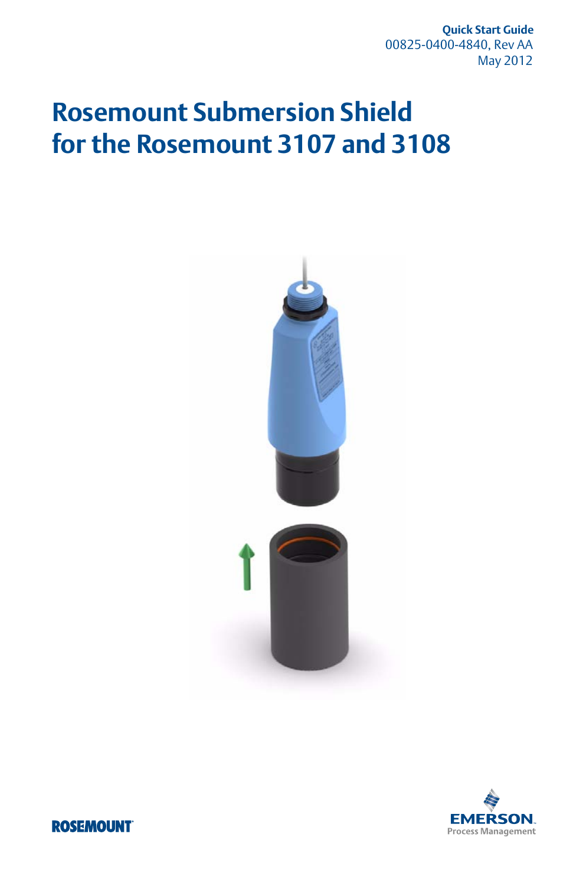**Quick Start Guide** 00825-0400-4840, Rev AA May 2012

# **Rosemount Submersion Shield for the Rosemount 3107 and 3108**





**ROSEMOUNT**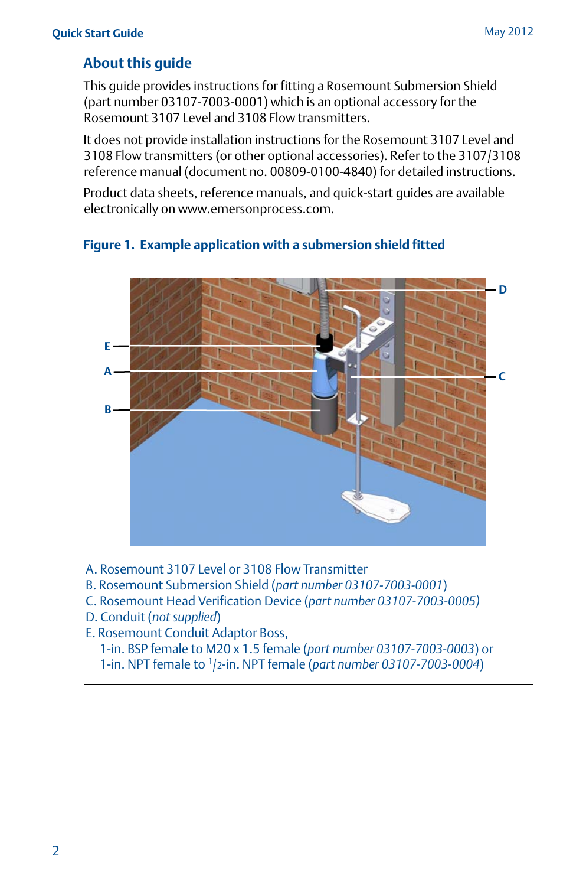## **About this guide**

This guide provides instructions for fitting a Rosemount Submersion Shield (part number 03107-7003-0001) which is an optional accessory for the Rosemount 3107 Level and 3108 Flow transmitters.

It does not provide installation instructions for the Rosemount 3107 Level and 3108 Flow transmitters (or other optional accessories). Refer to the 3107/3108 reference manual (document no. 00809-0100-4840) for detailed instructions.

Product data sheets, reference manuals, and quick-start guides are available electronically on www.emersonprocess.com.





- A. Rosemount 3107 Level or 3108 Flow Transmitter
- B. Rosemount Submersion Shield (*part number 03107-7003-0001*)
- C. Rosemount Head Verification Device (*part number 03107-7003-0005)*
- D. Conduit (*not supplied*)
- E. Rosemount Conduit Adaptor Boss,

1-in. BSP female to M20 x 1.5 female (*part number 03107-7003-0003*) or 1-in. NPT female to <sup>1</sup> /2-in. NPT female (*part number 03107-7003-0004*)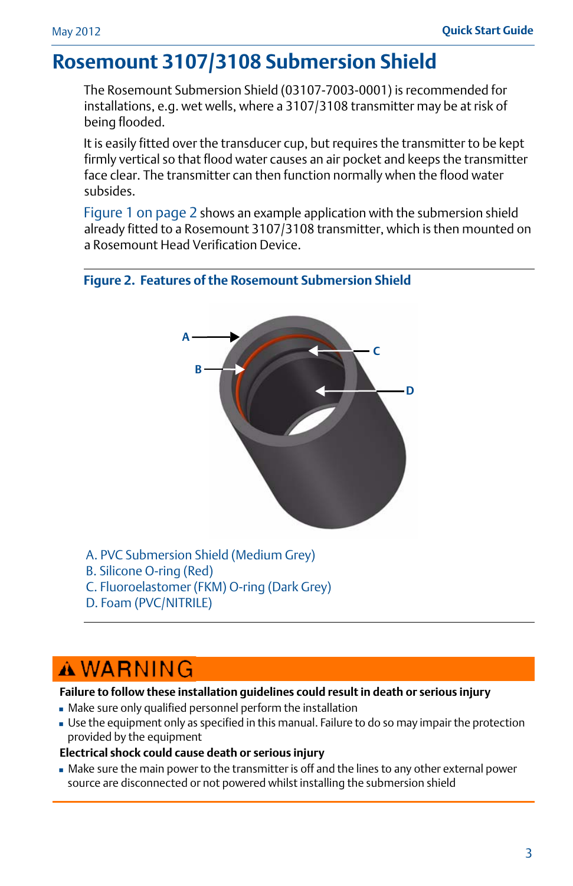## **Rosemount 3107/3108 Submersion Shield**

The Rosemount Submersion Shield (03107-7003-0001) is recommended for installations, e.g. wet wells, where a 3107/3108 transmitter may be at risk of being flooded.

It is easily fitted over the transducer cup, but requires the transmitter to be kept firmly vertical so that flood water causes an air pocket and keeps the transmitter face clear. The transmitter can then function normally when the flood water subsides.

Figure 1 on page 2 shows an example application with the submersion shield already fitted to a Rosemount 3107/3108 transmitter, which is then mounted on a Rosemount Head Verification Device.





- A. PVC Submersion Shield (Medium Grey)
- B. Silicone O-ring (Red)
- C. Fluoroelastomer (FKM) O-ring (Dark Grey)
- D. Foam (PVC/NITRILE)

# **AWARNING**

#### **Failure to follow these installation guidelines could result in death or serious injury**

- Make sure only qualified personnel perform the installation
- Use the equipment only as specified in this manual. Failure to do so may impair the protection provided by the equipment

#### **Electrical shock could cause death or serious injury**

 Make sure the main power to the transmitter is off and the lines to any other external power source are disconnected or not powered whilst installing the submersion shield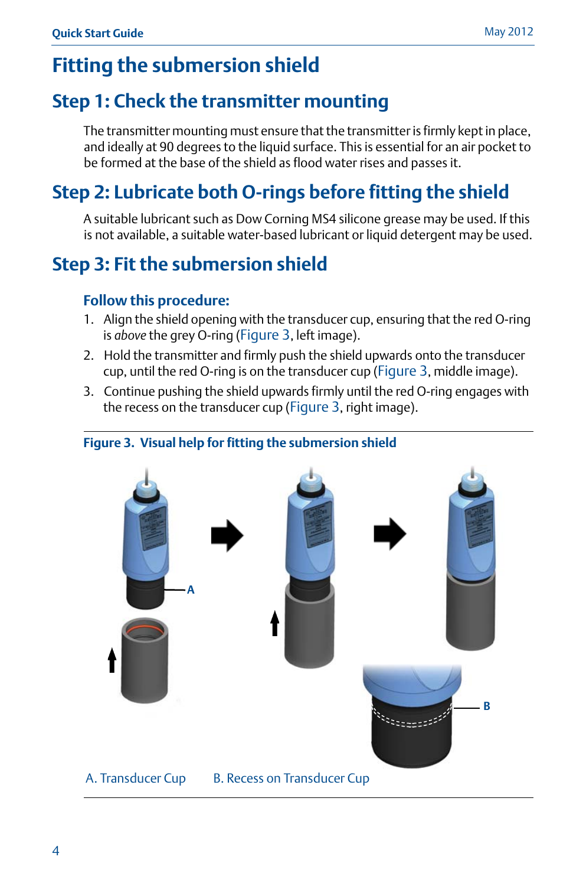# **Fitting the submersion shield**

## **Step 1: Check the transmitter mounting**

The transmitter mounting must ensure that the transmitter is firmly kept in place, and ideally at 90 degrees to the liquid surface. This is essential for an air pocket to be formed at the base of the shield as flood water rises and passes it.

# **Step 2: Lubricate both O-rings before fitting the shield**

A suitable lubricant such as Dow Corning MS4 silicone grease may be used. If this is not available, a suitable water-based lubricant or liquid detergent may be used.

# **Step 3: Fit the submersion shield**

## **Follow this procedure:**

- 1. Align the shield opening with the transducer cup, ensuring that the red O-ring is *above* the grey O-ring (Figure 3, left image).
- 2. Hold the transmitter and firmly push the shield upwards onto the transducer cup, until the red O-ring is on the transducer cup (Figure 3, middle image).
- 3. Continue pushing the shield upwards firmly until the red O-ring engages with the recess on the transducer cup (Figure 3, right image).

## **Figure 3. Visual help for fitting the submersion shield**

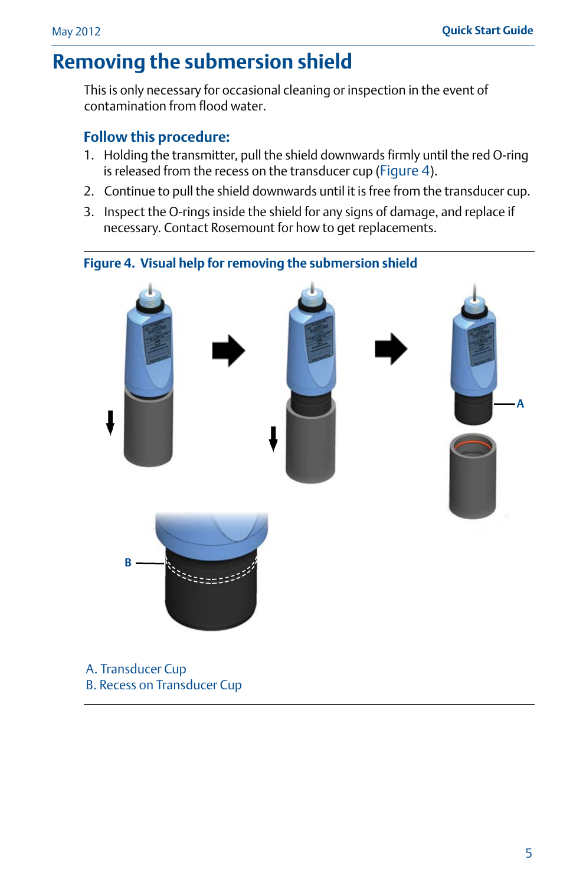## **Removing the submersion shield**

This is only necessary for occasional cleaning or inspection in the event of contamination from flood water.

## **Follow this procedure:**

B. Recess on Transducer Cup

- 1. Holding the transmitter, pull the shield downwards firmly until the red O-ring is released from the recess on the transducer cup (Figure 4).
- 2. Continue to pull the shield downwards until it is free from the transducer cup.
- 3. Inspect the O-rings inside the shield for any signs of damage, and replace if necessary. Contact Rosemount for how to get replacements.

# **Figure 4. Visual help for removing the submersion shield A B**n.<br>Externa de la A. Transducer Cup